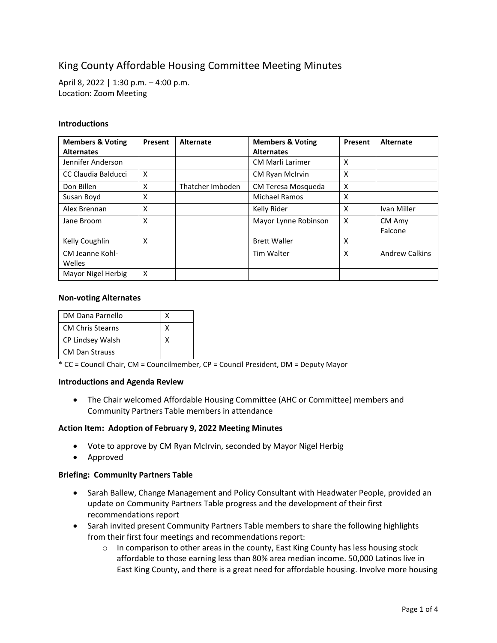# King County Affordable Housing Committee Meeting Minutes

April 8, 2022 | 1:30 p.m. – 4:00 p.m. Location: Zoom Meeting

## **Introductions**

| <b>Members &amp; Voting</b><br><b>Alternates</b> | Present | Alternate        | <b>Members &amp; Voting</b><br><b>Alternates</b> | Present                   | <b>Alternate</b>      |
|--------------------------------------------------|---------|------------------|--------------------------------------------------|---------------------------|-----------------------|
| Jennifer Anderson                                |         |                  | <b>CM Marli Larimer</b>                          | X                         |                       |
| CC Claudia Balducci                              | X       |                  | <b>CM Ryan McIrvin</b>                           | X                         |                       |
| Don Billen                                       | X       | Thatcher Imboden | CM Teresa Mosqueda                               | X                         |                       |
| Susan Boyd                                       | X       |                  | Michael Ramos                                    | X                         |                       |
| Alex Brennan                                     | X       |                  | Kelly Rider                                      | X                         | Ivan Miller           |
| Jane Broom                                       | X       |                  | Mayor Lynne Robinson                             | $\boldsymbol{\mathsf{X}}$ | CM Amy<br>Falcone     |
| Kelly Coughlin                                   | X       |                  | <b>Brett Waller</b>                              | X                         |                       |
| CM Jeanne Kohl-<br>Welles                        |         |                  | <b>Tim Walter</b>                                | $\times$                  | <b>Andrew Calkins</b> |
| Mayor Nigel Herbig                               | X       |                  |                                                  |                           |                       |

## **Non-voting Alternates**

| DM Dana Parnello        |  |
|-------------------------|--|
| <b>CM Chris Stearns</b> |  |
| CP Lindsey Walsh        |  |
| <b>CM Dan Strauss</b>   |  |

\* CC = Council Chair, CM = Councilmember, CP = Council President, DM = Deputy Mayor

## **Introductions and Agenda Review**

• The Chair welcomed Affordable Housing Committee (AHC or Committee) members and Community Partners Table members in attendance

## **Action Item: Adoption of February 9, 2022 Meeting Minutes**

- Vote to approve by CM Ryan McIrvin, seconded by Mayor Nigel Herbig
- Approved

## **Briefing: Community Partners Table**

- Sarah Ballew, Change Management and Policy Consultant with Headwater People, provided an update on Community Partners Table progress and the development of their first recommendations report
- Sarah invited present Community Partners Table members to share the following highlights from their first four meetings and recommendations report:
	- $\circ$  In comparison to other areas in the county, East King County has less housing stock affordable to those earning less than 80% area median income. 50,000 Latinos live in East King County, and there is a great need for affordable housing. Involve more housing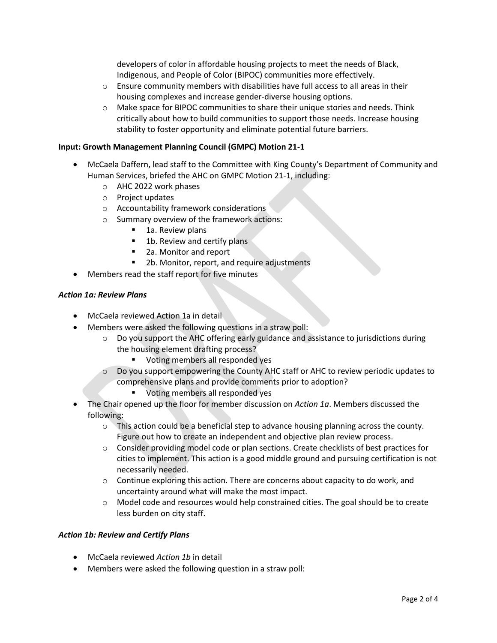developers of color in affordable housing projects to meet the needs of Black, Indigenous, and People of Color (BIPOC) communities more effectively.

- $\circ$  Ensure community members with disabilities have full access to all areas in their housing complexes and increase gender-diverse housing options.
- $\circ$  Make space for BIPOC communities to share their unique stories and needs. Think critically about how to build communities to support those needs. Increase housing stability to foster opportunity and eliminate potential future barriers.

## **Input: Growth Management Planning Council (GMPC) Motion 21-1**

- McCaela Daffern, lead staff to the Committee with King County's Department of Community and Human Services, briefed the AHC on GMPC Motion 21-1, including:
	- o AHC 2022 work phases
	- o Project updates
	- o Accountability framework considerations
	- o Summary overview of the framework actions:
		- 1a. Review plans
		- 1b. Review and certify plans
		- 2a. Monitor and report
		- 2b. Monitor, report, and require adjustments
- Members read the staff report for five minutes

## *Action 1a: Review Plans*

- McCaela reviewed Action 1a in detail
- Members were asked the following questions in a straw poll:
	- o Do you support the AHC offering early guidance and assistance to jurisdictions during the housing element drafting process?
		- Voting members all responded yes
	- o Do you support empowering the County AHC staff or AHC to review periodic updates to comprehensive plans and provide comments prior to adoption?
		- Voting members all responded yes
- The Chair opened up the floor for member discussion on *Action 1a*. Members discussed the following:
	- $\circ$  This action could be a beneficial step to advance housing planning across the county. Figure out how to create an independent and objective plan review process.
	- o Consider providing model code or plan sections. Create checklists of best practices for cities to implement. This action is a good middle ground and pursuing certification is not necessarily needed.
	- $\circ$  Continue exploring this action. There are concerns about capacity to do work, and uncertainty around what will make the most impact.
	- o Model code and resources would help constrained cities. The goal should be to create less burden on city staff.

## *Action 1b: Review and Certify Plans*

- McCaela reviewed *Action 1b* in detail
- Members were asked the following question in a straw poll: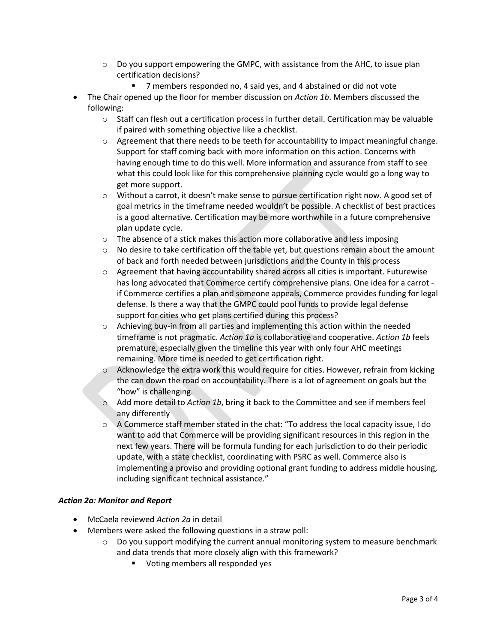- $\circ$  Do you support empowering the GMPC, with assistance from the AHC, to issue plan certification decisions?
	- 7 members responded no, 4 said yes, and 4 abstained or did not vote
- The Chair opened up the floor for member discussion on *Action 1b*. Members discussed the following:
	- $\circ$  Staff can flesh out a certification process in further detail. Certification may be valuable if paired with something objective like a checklist.
	- $\circ$  Agreement that there needs to be teeth for accountability to impact meaningful change. Support for staff coming back with more information on this action. Concerns with having enough time to do this well. More information and assurance from staff to see what this could look like for this comprehensive planning cycle would go a long way to get more support.
	- o Without a carrot, it doesn't make sense to pursue certification right now. A good set of goal metrics in the timeframe needed wouldn't be possible. A checklist of best practices is a good alternative. Certification may be more worthwhile in a future comprehensive plan update cycle.
	- $\circ$  The absence of a stick makes this action more collaborative and less imposing
	- $\circ$  No desire to take certification off the table yet, but questions remain about the amount of back and forth needed between jurisdictions and the County in this process
	- $\circ$  Agreement that having accountability shared across all cities is important. Futurewise has long advocated that Commerce certify comprehensive plans. One idea for a carrot if Commerce certifies a plan and someone appeals, Commerce provides funding for legal defense. Is there a way that the GMPC could pool funds to provide legal defense support for cities who get plans certified during this process?
	- $\circ$  Achieving buy-in from all parties and implementing this action within the needed timeframe is not pragmatic. *Action 1a* is collaborative and cooperative. *Action 1b* feels premature, especially given the timeline this year with only four AHC meetings remaining. More time is needed to get certification right.
	- $\circ$  Acknowledge the extra work this would require for cities. However, refrain from kicking the can down the road on accountability. There is a lot of agreement on goals but the "how" is challenging.
	- o Add more detail to *Action 1b*, bring it back to the Committee and see if members feel any differently
	- $\circ$  A Commerce staff member stated in the chat: "To address the local capacity issue, I do want to add that Commerce will be providing significant resources in this region in the next few years. There will be formula funding for each jurisdiction to do their periodic update, with a state checklist, coordinating with PSRC as well. Commerce also is implementing a proviso and providing optional grant funding to address middle housing, including significant technical assistance."

# *Action 2a: Monitor and Report*

- McCaela reviewed *Action 2a* in detail
- Members were asked the following questions in a straw poll:
	- $\circ$  Do you support modifying the current annual monitoring system to measure benchmark and data trends that more closely align with this framework?
		- Voting members all responded yes